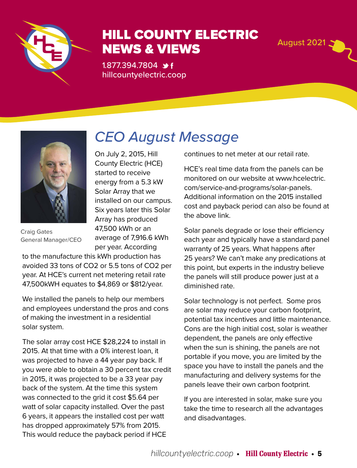

# HILL COUNTY ELECTRIC NEWS & VIEWS

*CEO August Message*

1.877.394.7804 → f hillcountyelectric.coop



Craig Gates General Manager/CEO

On July 2, 2015, Hill County Electric (HCE) started to receive energy from a 5.3 kW Solar Array that we installed on our campus. Six years later this Solar Array has produced 47,500 kWh or an average of 7,916.6 kWh per year. According

to the manufacture this kWh production has avoided 33 tons of CO2 or 5.5 tons of CO2 per year. At HCE's current net metering retail rate 47,500kWH equates to \$4,869 or \$812/year.

We installed the panels to help our members and employees understand the pros and cons of making the investment in a residential solar system.

The solar array cost HCE \$28,224 to install in 2015. At that time with a 0% interest loan, it was projected to have a 44 year pay back. If you were able to obtain a 30 percent tax credit in 2015, it was projected to be a 33 year pay back of the system. At the time this system was connected to the grid it cost \$5.64 per watt of solar capacity installed. Over the past 6 years, it appears the installed cost per watt has dropped approximately 57% from 2015. This would reduce the payback period if HCE

continues to net meter at our retail rate.

HCE's real time data from the panels can be monitored on our website at www.hcelectric. com/service-and-programs/solar-panels. Additional information on the 2015 installed cost and payback period can also be found at the above link.

Solar panels degrade or lose their efficiency each year and typically have a standard panel warranty of 25 years. What happens after 25 years? We can't make any predications at this point, but experts in the industry believe the panels will still produce power just at a diminished rate.

Solar technology is not perfect. Some pros are solar may reduce your carbon footprint, potential tax incentives and little maintenance. Cons are the high initial cost, solar is weather dependent, the panels are only effective when the sun is shining, the panels are not portable if you move, you are limited by the space you have to install the panels and the manufacturing and delivery systems for the panels leave their own carbon footprint.

If you are interested in solar, make sure you take the time to research all the advantages and disadvantages.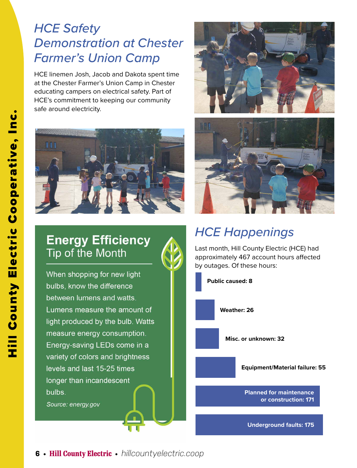## *HCE Safety Demonstration at Chester Farmer's Union Camp*

HCE linemen Josh, Jacob and Dakota spent time at the Chester Farmer's Union Camp in Chester educating campers on electrical safety. Part of HCE's commitment to keeping our community safe around electricity.



### **Energy Efficiency** Tip of the Month

When shopping for new light bulbs, know the difference between lumens and watts. Lumens measure the amount of light produced by the bulb. Watts measure energy consumption. Energy-saving LEDs come in a variety of colors and brightness levels and last 15-25 times longer than incandescent bulbs.

Source: energy.gov





# *HCE Happenings*

Last month, Hill County Electric (HCE) had approximately 467 account hours affected by outages. Of these hours:

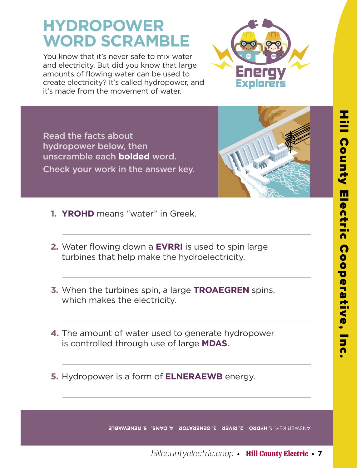# **HYDROPOWER WORD SCRAMBLE**

You know that it's never safe to mix water and electricity. But did you know that large amounts of flowing water can be used to create electricity? It's called hydropower, and it's made from the movement of water.



Read the facts about hydropower below, then unscramble each **bolded** word. Check your work in the answer key.



- **1. YROHD** means "water" in Greek.
- **2.** Water flowing down a **EVRRI** is used to spin large turbines that help make the hydroelectricity.
- **3.** When the turbines spin, a large **TROAEGREN** spins, which makes the electricity.
- **4.** The amount of water used to generate hydropower is controlled through use of large **MDAS**.
- **5.** Hydropower is a form of **ELNERAEWB** energy.

**MURMER KEY: I. HYDRO 2. RIVER 3. GENERATOR 4. DAMS. 5. RENEWABLE**